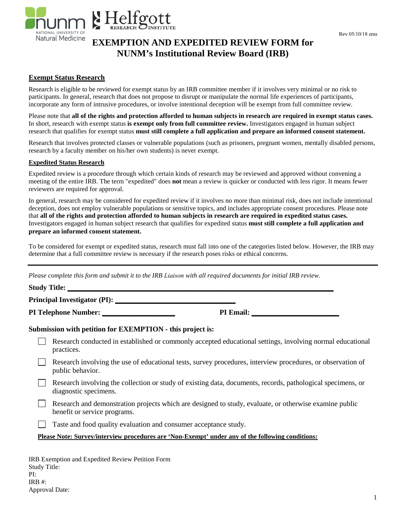Rev 05/10/18 ems



# **EXEMPTION AND EXPEDITED REVIEW FORM for NUNM's Institutional Review Board (IRB)**

## **Exempt Status Research**

Research is eligible to be reviewed for exempt status by an IRB committee member if it involves very minimal or no risk to participants. In general, research that does not propose to disrupt or manipulate the normal life experiences of participants, incorporate any form of intrusive procedures, or involve intentional deception will be exempt from full committee review.

Please note that **all of the rights and protection afforded to human subjects in research are required in exempt status cases.** In short, research with exempt status **is exempt only from full committee review.** Investigators engaged in human subject research that qualifies for exempt status **must still complete a full application and prepare an informed consent statement.** 

Research that involves protected classes or vulnerable populations (such as prisoners, pregnant women, mentally disabled persons, research by a faculty member on his/her own students) is never exempt.

## **Expedited Status Research**

Expedited review is a procedure through which certain kinds of research may be reviewed and approved without convening a meeting of the entire IRB. The term "expedited" does **not** mean a review is quicker or conducted with less rigor. It means fewer reviewers are required for approval.

In general, research may be considered for expedited review if it involves no more than minimal risk, does not include intentional deception, does not employ vulnerable populations or sensitive topics, and includes appropriate consent procedures. Please note that **all of the rights and protection afforded to human subjects in research are required in expedited status cases.** Investigators engaged in human subject research that qualifies for expedited status **must still complete a full application and prepare an informed consent statement.** 

To be considered for exempt or expedited status, research must fall into one of the categories listed below. However, the IRB may determine that a full committee review is necessary if the research poses risks or ethical concerns.

*Please complete this form and submit it to the IRB Liaison with all required documents for initial IRB review.* 

| <b>Study Title:</b>                 |     |        |
|-------------------------------------|-----|--------|
| <b>Principal Investigator (PI):</b> |     |        |
| -----<br>$- -$                      | --- | $\sim$ |

**PI Telephone Number: \_\_\_\_\_\_\_\_\_\_\_\_\_\_\_\_\_\_\_\_ PI Email: \_\_\_\_\_\_\_\_\_\_\_\_\_\_\_\_\_\_\_\_\_\_\_\_** 

## **Submission with petition for EXEMPTION - this project is:**

| Research conducted in established or commonly accepted educational settings, involving normal educational |
|-----------------------------------------------------------------------------------------------------------|
| practices.                                                                                                |

 $\Box$ Research involving the use of educational tests, survey procedures, interview procedures, or observation of public behavior.

Research involving the collection or study of existing data, documents, records, pathological specimens, or diagnostic specimens.

Research and demonstration projects which are designed to study, evaluate, or otherwise examine public benefit or service programs.

 $\Box$  Taste and food quality evaluation and consumer acceptance study.

#### **Please Note: Survey/interview procedures are 'Non-Exempt' under any of the following conditions:**

IRB Exemption and Expedited Review Petition Form Study Title: PI: IRB #: Approval Date: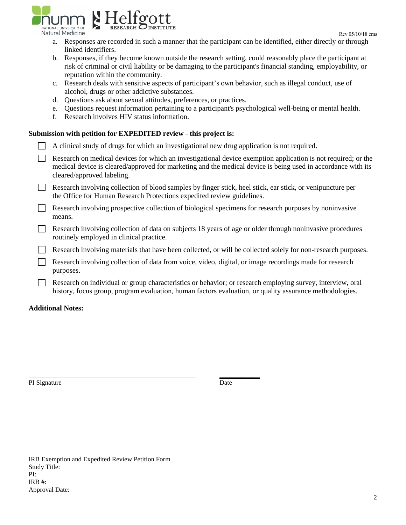

- a. Responses are recorded in such a manner that the participant can be identified, either directly or through linked identifiers.
- b. Responses, if they become known outside the research setting, could reasonably place the participant at risk of criminal or civil liability or be damaging to the participant's financial standing, employability, or reputation within the community.
- c. Research deals with sensitive aspects of participant's own behavior, such as illegal conduct, use of alcohol, drugs or other addictive substances.
- d. Questions ask about sexual attitudes, preferences, or practices.
- e. Questions request information pertaining to a participant's psychological well-being or mental health.
- f. Research involves HIV status information.

## **Submission with petition for EXPEDITED review - this project is:**

| ubiliission with petition for EAT EDTTED Teview - this project is.                                                                                                                                                                                          |  |  |
|-------------------------------------------------------------------------------------------------------------------------------------------------------------------------------------------------------------------------------------------------------------|--|--|
| A clinical study of drugs for which an investigational new drug application is not required.                                                                                                                                                                |  |  |
| Research on medical devices for which an investigational device exemption application is not required; or the<br>medical device is cleared/approved for marketing and the medical device is being used in accordance with its<br>cleared/approved labeling. |  |  |
| Research involving collection of blood samples by finger stick, heel stick, ear stick, or venipuncture per<br>the Office for Human Research Protections expedited review guidelines.                                                                        |  |  |
| Research involving prospective collection of biological specimens for research purposes by noninvasive<br>means.                                                                                                                                            |  |  |
| Research involving collection of data on subjects 18 years of age or older through noninvasive procedures<br>routinely employed in clinical practice.                                                                                                       |  |  |
| Research involving materials that have been collected, or will be collected solely for non-research purposes.                                                                                                                                               |  |  |
| Research involving collection of data from voice, video, digital, or image recordings made for research<br>purposes.                                                                                                                                        |  |  |
| Research on individual or group characteristics or behavior; or research employing survey, interview, oral<br>history, focus group, program evaluation, human factors evaluation, or quality assurance methodologies.                                       |  |  |

## **Additional Notes:**

PI Signature Date

**\_\_\_\_\_\_\_\_\_\_\_**

IRB Exemption and Expedited Review Petition Form Study Title: PI: IRB #: Approval Date: